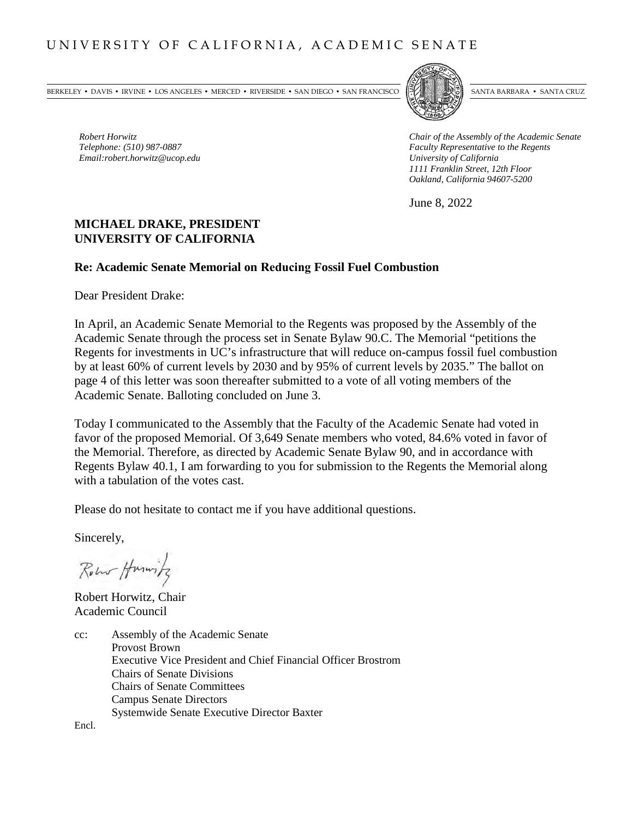BERKELEY • DAVIS • IRVINE • LOS ANGELES • MERCED • RIVERSIDE • SAN DIEGO • SAN FRANCISCO [57] SANTA BARBARA • SANTA CRUZ



*Robert Horwitz*<br> *Robert Horwitz*<br> *Chair of the Assembly of the Academic Senate*<br> *Chair of the Assembly of the Academic Senate*<br> *Faculty Representative to the Regents Faculty Representative to the Regents*<br>*University of California 1111 Franklin Street, 12th Floor Oakland, California 94607-5200*

June 8, 2022

# **MICHAEL DRAKE, PRESIDENT UNIVERSITY OF CALIFORNIA**

#### **Re: Academic Senate Memorial on Reducing Fossil Fuel Combustion**

Dear President Drake:

 $Email:robert.horwitz@ucop.edu$ 

In April, an Academic Senate Memorial to the Regents was proposed by the Assembly of the Academic Senate through the process set in Senate Bylaw 90.C. The Memorial "petitions the Regents for investments in UC's infrastructure that will reduce on-campus fossil fuel combustion by at least 60% of current levels by 2030 and by 95% of current levels by 2035." The ballot on page 4 of this letter was soon thereafter submitted to a vote of all voting members of the Academic Senate. Balloting concluded on June 3.

Today I communicated to the Assembly that the Faculty of the Academic Senate had voted in favor of the proposed Memorial. Of 3,649 Senate members who voted, 84.6% voted in favor of the Memorial. Therefore, as directed by Academic Senate Bylaw 90, and in accordance with Regents Bylaw 40.1, I am forwarding to you for submission to the Regents the Memorial along with a tabulation of the votes cast.

Please do not hesitate to contact me if you have additional questions.

Sincerely,

Row Humitz

Robert Horwitz, Chair Academic Council

cc: Assembly of the Academic Senate Provost Brown Executive Vice President and Chief Financial Officer Brostrom Chairs of Senate Divisions Chairs of Senate Committees Campus Senate Directors Systemwide Senate Executive Director Baxter

Encl.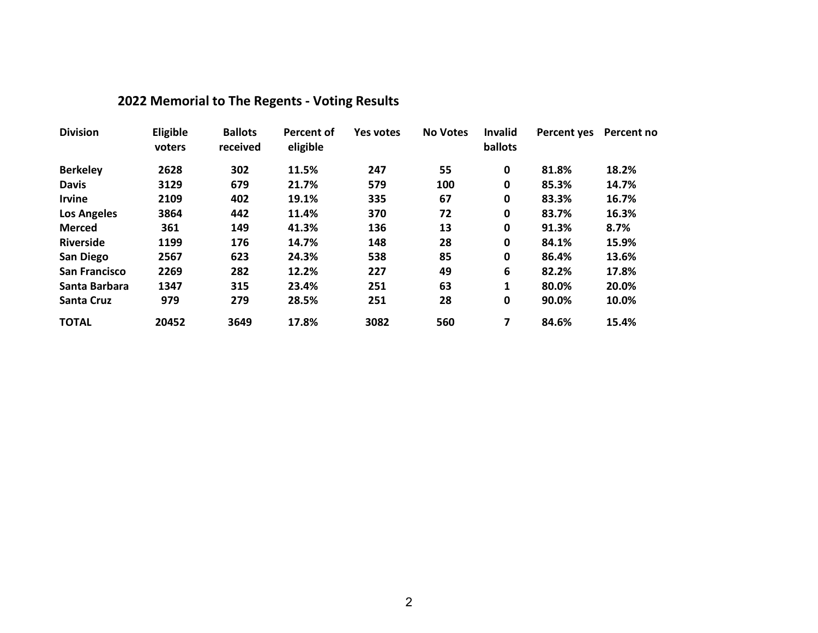| <b>Division</b>      | Eligible<br>voters | <b>Ballots</b><br>received | Percent of<br>eligible | Yes votes | <b>No Votes</b> | <b>Invalid</b><br>ballots | Percent yes | Percent no |
|----------------------|--------------------|----------------------------|------------------------|-----------|-----------------|---------------------------|-------------|------------|
| <b>Berkeley</b>      | 2628               | 302                        | 11.5%                  | 247       | 55              | 0                         | 81.8%       | 18.2%      |
| <b>Davis</b>         | 3129               | 679                        | 21.7%                  | 579       | 100             | 0                         | 85.3%       | 14.7%      |
| <b>Irvine</b>        | 2109               | 402                        | 19.1%                  | 335       | 67              | $\mathbf 0$               | 83.3%       | 16.7%      |
| <b>Los Angeles</b>   | 3864               | 442                        | 11.4%                  | 370       | 72              | $\mathbf 0$               | 83.7%       | 16.3%      |
| <b>Merced</b>        | 361                | 149                        | 41.3%                  | 136       | 13              | 0                         | 91.3%       | 8.7%       |
| <b>Riverside</b>     | 1199               | 176                        | 14.7%                  | 148       | 28              | $\mathbf 0$               | 84.1%       | 15.9%      |
| <b>San Diego</b>     | 2567               | 623                        | 24.3%                  | 538       | 85              | 0                         | 86.4%       | 13.6%      |
| <b>San Francisco</b> | 2269               | 282                        | 12.2%                  | 227       | 49              | 6                         | 82.2%       | 17.8%      |
| Santa Barbara        | 1347               | 315                        | 23.4%                  | 251       | 63              | 1                         | 80.0%       | 20.0%      |
| <b>Santa Cruz</b>    | 979                | 279                        | 28.5%                  | 251       | 28              | $\mathbf 0$               | 90.0%       | 10.0%      |
| <b>TOTAL</b>         | 20452              | 3649                       | 17.8%                  | 3082      | 560             | 7                         | 84.6%       | 15.4%      |

# **2022 Memorial to The Regents - Voting Results**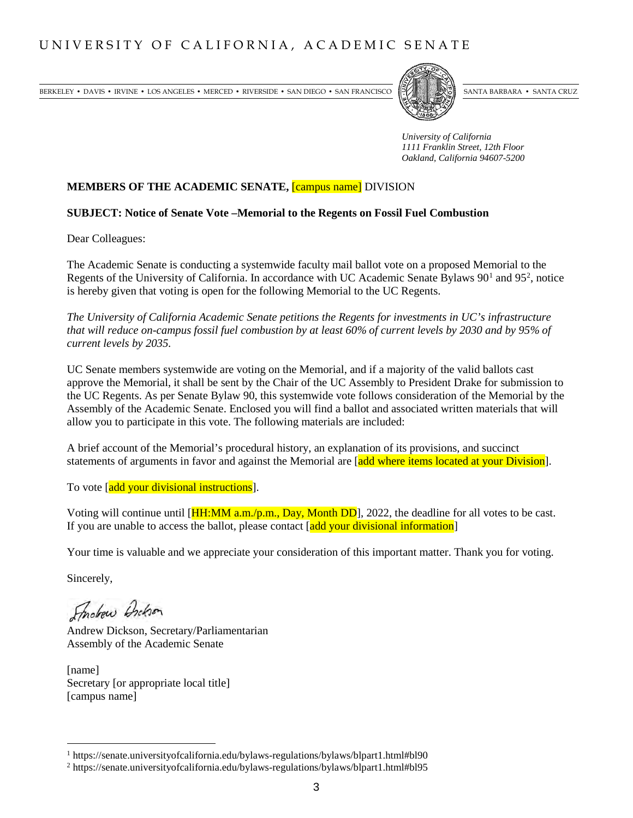BERKELEY • DAVIS • IRVINE • LOS ANGELES • MERCED • RIVERSIDE • SAN DIEGO • SAN FRANCISCO [PARTA] SANTA BARBARA • SANTA CRUZ



*University of California 1111 Franklin Street, 12th Floor Oakland, California 94607-5200*

#### **MEMBERS OF THE ACADEMIC SENATE,** [campus name] DIVISION

#### **SUBJECT: Notice of Senate Vote –Memorial to the Regents on Fossil Fuel Combustion**

Dear Colleagues:

The Academic Senate is conducting a systemwide faculty mail ballot vote on a proposed Memorial to the Regents of the University of California. In accordance with UC Academic Senate Bylaws  $90<sup>1</sup>$  $90<sup>1</sup>$  $90<sup>1</sup>$  and  $95<sup>2</sup>$  $95<sup>2</sup>$  $95<sup>2</sup>$ , notice is hereby given that voting is open for the following Memorial to the UC Regents.

*The University of California Academic Senate petitions the Regents for investments in UC's infrastructure that will reduce on-campus fossil fuel combustion by at least 60% of current levels by 2030 and by 95% of current levels by 2035.*

UC Senate members systemwide are voting on the Memorial, and if a majority of the valid ballots cast approve the Memorial, it shall be sent by the Chair of the UC Assembly to President Drake for submission to the UC Regents. As per Senate Bylaw 90, this systemwide vote follows consideration of the Memorial by the Assembly of the Academic Senate. Enclosed you will find a ballot and associated written materials that will allow you to participate in this vote. The following materials are included:

A brief account of the Memorial's procedural history, an explanation of its provisions, and succinct statements of arguments in favor and against the Memorial are [add where items located at your Division].

To vote [add your divisional instructions].

Voting will continue until  $[\text{HH:MM a.m./p.m., Dav, Month DD}]$ , 2022, the deadline for all votes to be cast. If you are unable to access the ballot, please contact [add your divisional information]

Your time is valuable and we appreciate your consideration of this important matter. Thank you for voting.

Sincerely,

Findraw Archion

Andrew Dickson, Secretary/Parliamentarian Assembly of the Academic Senate

[name] Secretary [or appropriate local title] [campus name]

<span id="page-2-0"></span><sup>&</sup>lt;sup>1</sup> https://senate.universityofcalifornia.edu/bylaws-regulations/bylaws/blpart1.html#bl90

<span id="page-2-1"></span><sup>2</sup> https://senate.universityofcalifornia.edu/bylaws-regulations/bylaws/blpart1.html#bl95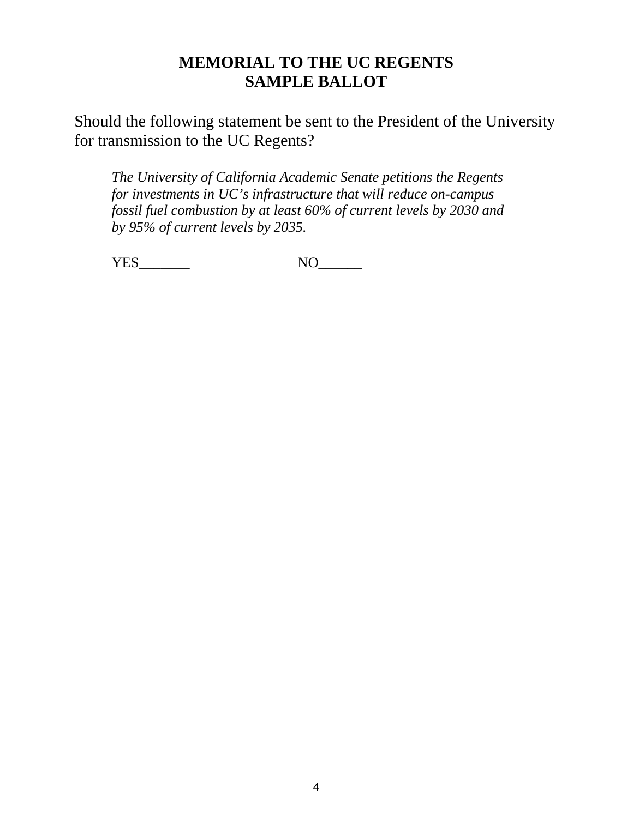# **MEMORIAL TO THE UC REGENTS SAMPLE BALLOT**

Should the following statement be sent to the President of the University for transmission to the UC Regents?

*The University of California Academic Senate petitions the Regents for investments in UC's infrastructure that will reduce on-campus fossil fuel combustion by at least 60% of current levels by 2030 and by 95% of current levels by 2035.*

YES\_\_\_\_\_\_\_ NO\_\_\_\_\_\_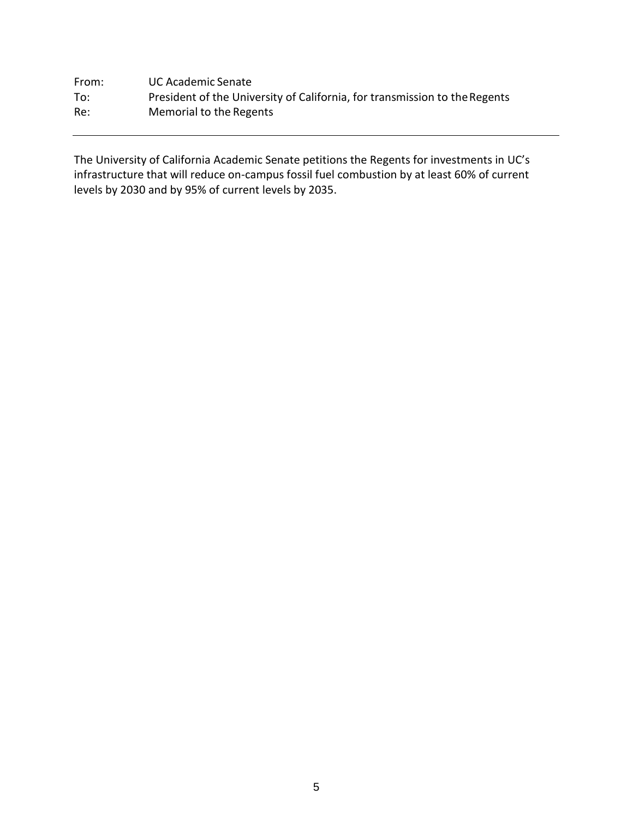| From: | UC Academic Senate                                                         |
|-------|----------------------------------------------------------------------------|
| To:   | President of the University of California, for transmission to the Regents |
| Re:   | Memorial to the Regents                                                    |

The University of California Academic Senate petitions the Regents for investments in UC's infrastructure that will reduce on-campus fossil fuel combustion by at least 60% of current levels by 2030 and by 95% of current levels by 2035.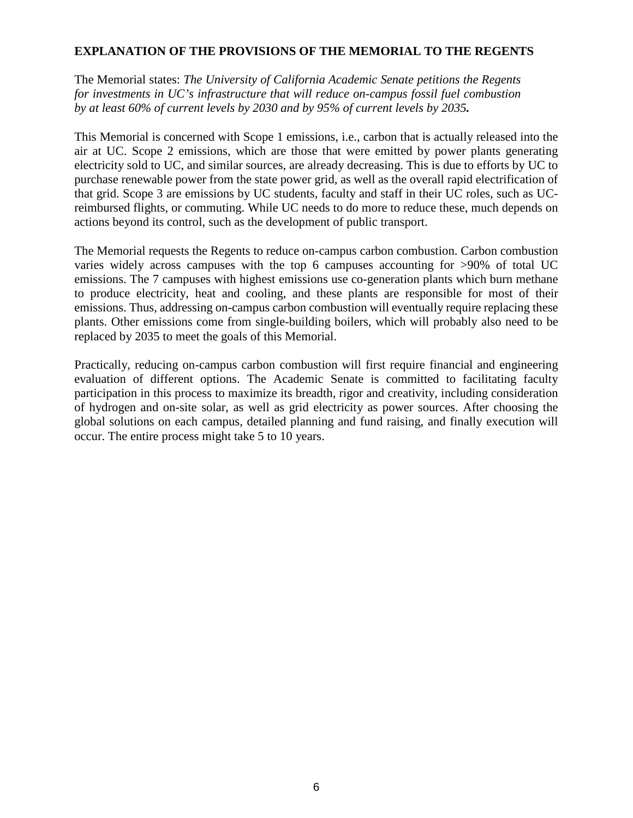### **EXPLANATION OF THE PROVISIONS OF THE MEMORIAL TO THE REGENTS**

The Memorial states: *The University of California Academic Senate petitions the Regents for investments in UC's infrastructure that will reduce on-campus fossil fuel combustion by at least 60% of current levels by 2030 and by 95% of current levels by 2035.* 

This Memorial is concerned with Scope 1 emissions, i.e., carbon that is actually released into the air at UC. Scope 2 emissions, which are those that were emitted by power plants generating electricity sold to UC, and similar sources, are already decreasing. This is due to efforts by UC to purchase renewable power from the state power grid, as well as the overall rapid electrification of that grid. Scope 3 are emissions by UC students, faculty and staff in their UC roles, such as UCreimbursed flights, or commuting. While UC needs to do more to reduce these, much depends on actions beyond its control, such as the development of public transport.

The Memorial requests the Regents to reduce on-campus carbon combustion. Carbon combustion varies widely across campuses with the top 6 campuses accounting for >90% of total UC emissions. The 7 campuses with highest emissions use co-generation plants which burn methane to produce electricity, heat and cooling, and these plants are responsible for most of their emissions. Thus, addressing on-campus carbon combustion will eventually require replacing these plants. Other emissions come from single-building boilers, which will probably also need to be replaced by 2035 to meet the goals of this Memorial.

Practically, reducing on-campus carbon combustion will first require financial and engineering evaluation of different options. The Academic Senate is committed to facilitating faculty participation in this process to maximize its breadth, rigor and creativity, including consideration of hydrogen and on-site solar, as well as grid electricity as power sources. After choosing the global solutions on each campus, detailed planning and fund raising, and finally execution will occur. The entire process might take 5 to 10 years.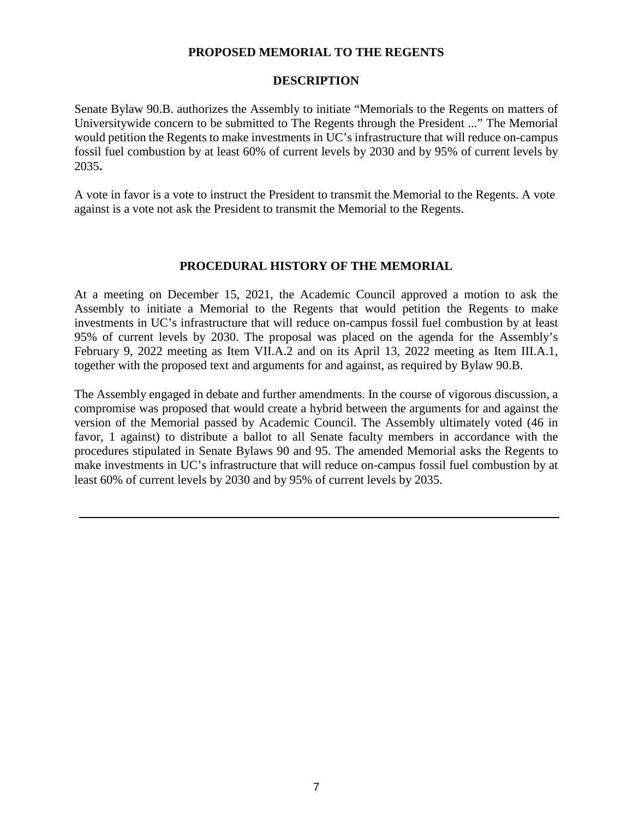#### **PROPOSED MEMORIAL TO THE REGENTS**

#### **DESCRIPTION**

Senate Bylaw 90.B. authorizes the Assembly to initiate "Memorials to the Regents on matters of Universitywide concern to be submitted to The Regents through the President ..." The Memorial would petition the Regents to make investments in UC's infrastructure that will reduce on-campus fossil fuel combustion by at least 60% of current levels by 2030 and by 95% of current levels by 2035**.** 

A vote in favor is a vote to instruct the President to transmit the Memorial to the Regents. A vote against is a vote not ask the President to transmit the Memorial to the Regents.

#### **PROCEDURAL HISTORY OF THE MEMORIAL**

At a meeting on December 15, 2021, the Academic Council approved a motion to ask the Assembly to initiate a Memorial to the Regents that would petition the Regents to make investments in UC's infrastructure that will reduce on-campus fossil fuel combustion by at least 95% of current levels by 2030. The proposal was placed on the agenda for the Assembly's February 9, 2022 meeting as Item VII.A.2 and on its April 13, 2022 meeting as Item III.A.1, together with the proposed text and arguments for and against, as required by Bylaw 90.B.

The Assembly engaged in debate and further amendments. In the course of vigorous discussion, a compromise was proposed that would create a hybrid between the arguments for and against the version of the Memorial passed by Academic Council. The Assembly ultimately voted (46 in favor, 1 against) to distribute a ballot to all Senate faculty members in accordance with the procedures stipulated in Senate Bylaws 90 and 95. The amended Memorial asks the Regents to make investments in UC's infrastructure that will reduce on-campus fossil fuel combustion by at least 60% of current levels by 2030 and by 95% of current levels by 2035.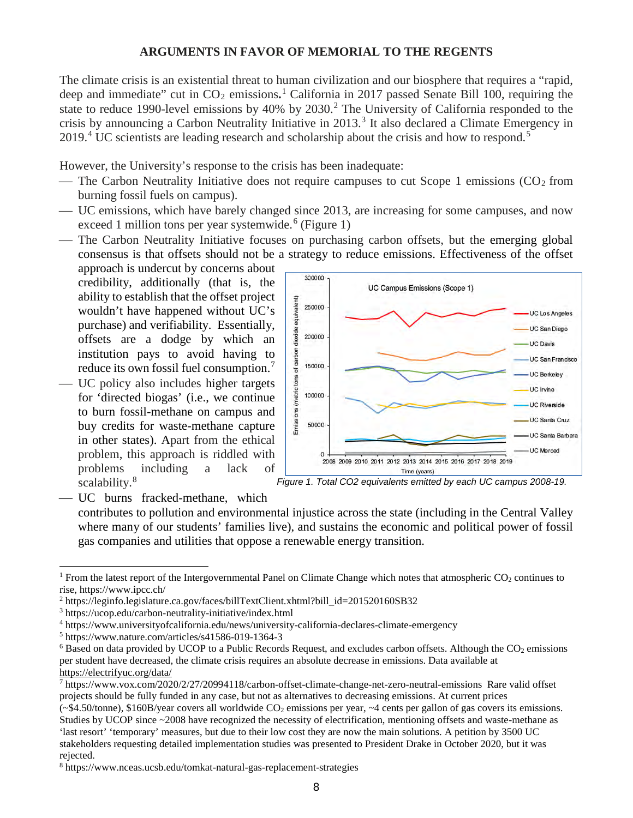#### **ARGUMENTS IN FAVOR OF MEMORIAL TO THE REGENTS**

The climate crisis is an existential threat to human civilization and our biosphere that requires a "rapid, deep and immediate" cut in CO<sub>2</sub> emissions.<sup>[1](#page-7-0)</sup> California in 2017 passed Senate Bill 100, requiring the state to reduce 1990-level emissions by 40% by [2](#page-7-1)030.<sup>2</sup> The University of California responded to the crisis by announcing a Carbon Neutrality Initiative in 201[3](#page-7-2).<sup>3</sup> It also declared a Climate Emergency in 2019.<sup>[4](#page-7-3)</sup> UC scientists are leading research and scholarship about the crisis and how to respond.<sup>[5](#page-7-4)</sup>

However, the University's response to the crisis has been inadequate:

- The Carbon Neutrality Initiative does not require campuses to cut Scope 1 emissions  $(CO<sub>2</sub>$  from burning fossil fuels on campus).
- UC emissions, which have barely changed since 2013, are increasing for some campuses, and now exceed 1 million tons per year systemwide.<sup>[6](#page-7-5)</sup> (Figure 1)
- The Carbon Neutrality Initiative focuses on purchasing carbon offsets, but the emerging global consensus is that offsets should not be a strategy to reduce emissions. Effectiveness of the offset

approach is undercut by concerns about credibility, additionally (that is, the ability to establish that the offset project wouldn't have happened without UC's purchase) and verifiability. Essentially, offsets are a dodge by which an institution pays to avoid having to reduce its own fossil fuel consumption.<sup>[7](#page-7-6)</sup>

 UC policy also includes higher targets for 'directed biogas' (i.e., we continue to burn fossil-methane on campus and buy credits for waste-methane capture in other states). Apart from the ethical problem, this approach is riddled with problems including a lack of scalability.<sup>[8](#page-7-7)</sup>



*Figure 1. Total CO2 equivalents emitted by each UC campus 2008-19.*

UC burns fracked-methane, which

contributes to pollution and environmental injustice across the state (including in the Central Valley where many of our students' families live), and sustains the economic and political power of fossil gas companies and utilities that oppose a renewable energy transition.

<span id="page-7-0"></span><sup>&</sup>lt;sup>1</sup> From the latest report of the Intergovernmental Panel on Climate Change which notes that atmospheric  $CO<sub>2</sub>$  continues to rise, https://www.ipcc.ch/

<span id="page-7-1"></span><sup>2</sup> [https://leginfo.legislature.ca.gov/faces/billTextClient.xhtml?bill\\_id=201520160SB32](https://leginfo.legislature.ca.gov/faces/billTextClient.xhtml?bill_id=201520160SB32)

<span id="page-7-2"></span><sup>3</sup> <https://ucop.edu/carbon-neutrality-initiative/index.html>

<span id="page-7-3"></span><sup>4</sup> <https://www.universityofcalifornia.edu/news/university-california-declares-climate-emergency>5 <https://www.nature.com/articles/s41586-019-1364-3>

<span id="page-7-4"></span>

<span id="page-7-5"></span> $6$  Based on data provided by UCOP to a Public Records Request, and excludes carbon offsets. Although the  $CO<sub>2</sub>$  emissions per student have decreased, the climate crisis requires an absolute decrease in emissions. Data available at <https://electrifyuc.org/data/>

<span id="page-7-6"></span><sup>7</sup> <https://www.vox.com/2020/2/27/20994118/carbon-offset-climate-change-net-zero-neutral-emissions>Rare valid offset projects should be fully funded in any case, but not as alternatives to decreasing emissions. At current prices

 $(-\$4.50/\text{tonne})$ , \$160B/year covers all worldwide  $CO_2$  emissions per year,  $\sim$ 4 cents per gallon of gas covers its emissions. Studies by UCOP since ~2008 have recognized the necessity of electrification, mentioning offsets and waste-methane as 'last resort' 'temporary' measures, but due to their low cost they are now the main solutions. A petition by 3500 UC stakeholders requesting detailed implementation studies was presented to President Drake in October 2020, but it was rejected.<br><sup>8</sup> <https://www.nceas.ucsb.edu/tomkat-natural-gas-replacement-strategies>

<span id="page-7-7"></span>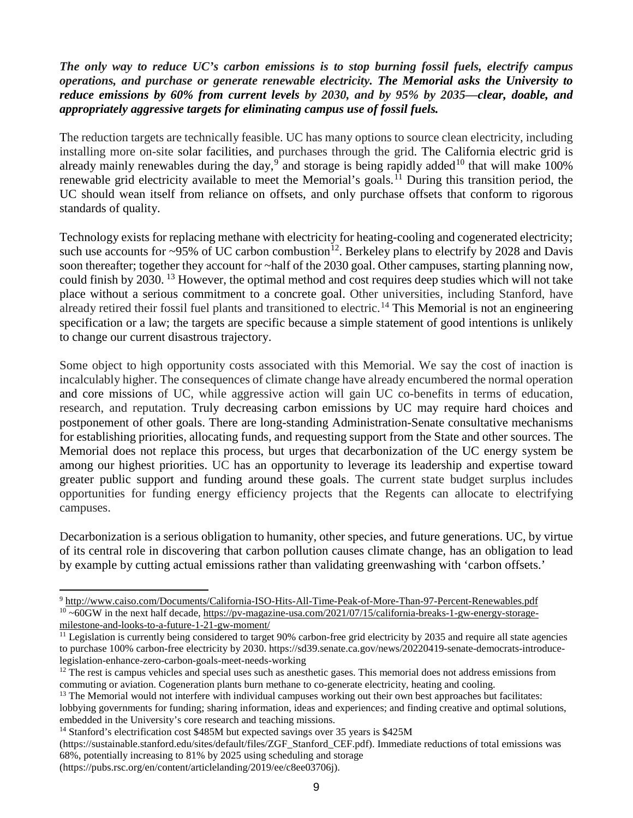# *The only way to reduce UC's carbon emissions is to stop burning fossil fuels, electrify campus operations, and purchase or generate renewable electricity. The Memorial asks the University to reduce emissions by 60% from current levels by 2030, and by 95% by 2035—clear, doable, and appropriately aggressive targets for eliminating campus use of fossil fuels.*

The reduction targets are technically feasible. UC has many options to source clean electricity, including installing more on-site solar facilities, and purchases through the grid. The California electric grid is already mainly renewables during the day,  $9^{\circ}$  $9^{\circ}$  and storage is being rapidly added<sup>[10](#page-8-1)</sup> that will make 100% renewable grid electricity available to meet the Memorial's goals.<sup>[11](#page-8-2)</sup> During this transition period, the UC should wean itself from reliance on offsets, and only purchase offsets that conform to rigorous standards of quality.

Technology exists for replacing methane with electricity for heating-cooling and cogenerated electricity; such use accounts for  $\sim$ 95% of UC carbon combustion<sup>[12](#page-8-3)</sup>. Berkeley plans to electrify by 2028 and Davis soon thereafter; together they account for ~half of the 2030 goal. Other campuses, starting planning now, could finish by 2030. [13](#page-8-4) However, the optimal method and cost requires deep studies which will not take place without a serious commitment to a concrete goal. Other universities, including Stanford, have already retired their fossil fuel plants and transitioned to electric.<sup>[14](#page-8-5)</sup> This Memorial is not an engineering specification or a law; the targets are specific because a simple statement of good intentions is unlikely to change our current disastrous trajectory.

Some object to high opportunity costs associated with this Memorial. We say the cost of inaction is incalculably higher. The consequences of climate change have already encumbered the normal operation and core missions of UC, while aggressive action will gain UC co-benefits in terms of education, research, and reputation. Truly decreasing carbon emissions by UC may require hard choices and postponement of other goals. There are long-standing Administration-Senate consultative mechanisms for establishing priorities, allocating funds, and requesting support from the State and other sources. The Memorial does not replace this process, but urges that decarbonization of the UC energy system be among our highest priorities. UC has an opportunity to leverage its leadership and expertise toward greater public support and funding around these goals. The current state budget surplus includes opportunities for funding energy efficiency projects that the Regents can allocate to electrifying campuses.

Decarbonization is a serious obligation to humanity, other species, and future generations. UC, by virtue of its central role in discovering that carbon pollution causes climate change, has an obligation to lead by example by cutting actual emissions rather than validating greenwashing with 'carbon offsets.'

<span id="page-8-1"></span><span id="page-8-0"></span><sup>9</sup> <http://www.caiso.com/Documents/California-ISO-Hits-All-Time-Peak-of-More-Than-97-Percent-Renewables.pdf>  $10 \sim 60$ GW in the next half decade[, https://pv-magazine-usa.com/2021/07/15/california-breaks-1-gw-energy-storage](https://pv-magazine-usa.com/2021/07/15/california-breaks-1-gw-energy-storage-milestone-and-looks-to-a-future-1-21-gw-moment/)[milestone-and-looks-to-a-future-1-21-gw-moment/](https://pv-magazine-usa.com/2021/07/15/california-breaks-1-gw-energy-storage-milestone-and-looks-to-a-future-1-21-gw-moment/)

<span id="page-8-2"></span> $<sup>11</sup>$  Legislation is currently being considered to target 90% carbon-free grid electricity by 2035 and require all state agencies</sup> to purchase 100% carbon-free electricity by 2030. https://sd39.senate.ca.gov/news/20220419-senate-democrats-introducelegislation-enhance-zero-carbon-goals-meet-needs-working

<span id="page-8-3"></span> $12$  The rest is campus vehicles and special uses such as anesthetic gases. This memorial does not address emissions from commuting or aviation. Cogeneration plants burn methane to co-generate electricity, heating and cooling.

<span id="page-8-4"></span><sup>&</sup>lt;sup>13</sup> The Memorial would not interfere with individual campuses working out their own best approaches but facilitates: lobbying governments for funding; sharing information, ideas and experiences; and finding creative and optimal solutions, embedded in the University's core research and teaching missions.

<span id="page-8-5"></span><sup>&</sup>lt;sup>14</sup> Stanford's electrification cost \$485M but expected savings over 35 years is \$425M

<sup>(</sup>https://sustainable.stanford.edu/sites/default/files/ZGF\_Stanford\_CEF.pdf). Immediate reductions of total emissions was 68%, potentially increasing to 81% by 2025 using scheduling and storage

<sup>(</sup>https://pubs.rsc.org/en/content/articlelanding/2019/ee/c8ee03706j).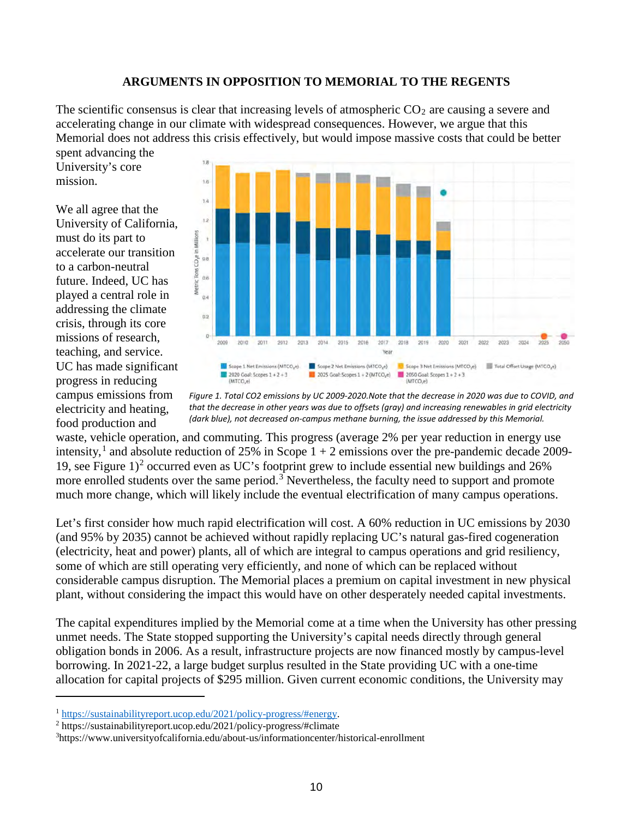#### **ARGUMENTS IN OPPOSITION TO MEMORIAL TO THE REGENTS**

The scientific consensus is clear that increasing levels of atmospheric  $CO<sub>2</sub>$  are causing a severe and accelerating change in our climate with widespread consequences. However, we argue that this Memorial does not address this crisis effectively, but would impose massive costs that could be better spent advancing the

University's core mission.

We all agree that the University of California, must do its part to accelerate our transition to a carbon-neutral future. Indeed, UC has played a central role in addressing the climate crisis, through its core missions of research, teaching, and service. UC has made significant progress in reducing campus emissions from electricity and heating, food production and



*Figure 1. Total CO2 emissions by UC 2009-2020.Note that the decrease in 2020 was due to COVID, and that the decrease in other years was due to offsets (gray) and increasing renewables in grid electricity (dark blue), not decreased on-campus methane burning, the issue addressed by this Memorial.*

waste, vehicle operation, and commuting. This progress (average 2% per year reduction in energy use intensity,<sup>[1](#page-9-0)</sup> and absolute reduction of 25% in Scope  $1 + 2$  emissions over the pre-pandemic decade 2009-19, see Figure  $1$ <sup>[2](#page-9-1)</sup> occurred even as UC's footprint grew to include essential new buildings and  $26\%$ more enrolled students over the same period.<sup>[3](#page-9-2)</sup> Nevertheless, the faculty need to support and promote much more change, which will likely include the eventual electrification of many campus operations.

Let's first consider how much rapid electrification will cost. A 60% reduction in UC emissions by 2030 (and 95% by 2035) cannot be achieved without rapidly replacing UC's natural gas-fired cogeneration (electricity, heat and power) plants, all of which are integral to campus operations and grid resiliency, some of which are still operating very efficiently, and none of which can be replaced without considerable campus disruption. The Memorial places a premium on capital investment in new physical plant, without considering the impact this would have on other desperately needed capital investments.

The capital expenditures implied by the Memorial come at a time when the University has other pressing unmet needs. The State stopped supporting the University's capital needs directly through general obligation bonds in 2006. As a result, infrastructure projects are now financed mostly by campus-level borrowing. In 2021-22, a large budget surplus resulted in the State providing UC with a one-time allocation for capital projects of \$295 million. Given current economic conditions, the University may

<span id="page-9-0"></span><sup>1</sup> [https://sustainabilityreport.ucop.edu/2021/policy-progress/#energy.](https://sustainabilityreport.ucop.edu/2021/policy-progress/#energy) 2 https://sustainabilityreport.ucop.edu/2021/policy-progress/#climate

<span id="page-9-1"></span>

<span id="page-9-2"></span><sup>3</sup> https://www.universityofcalifornia.edu/about-us/informationcenter/historical-enrollment